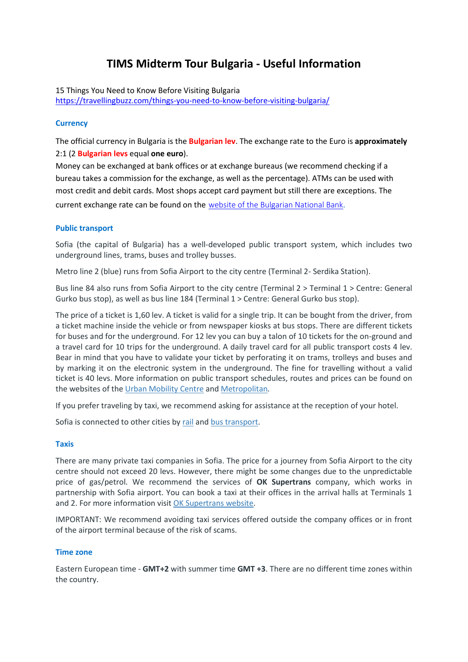# **TIMS Midterm Tour Bulgaria - Useful Information**

15 Things You Need to Know Before Visiting Bulgaria

<https://travellingbuzz.com/things-you-need-to-know-before-visiting-bulgaria/>

# **Currency**

The official currency in Bulgaria is the **Bulgarian lev**. The exchange rate to the Euro is **approximately**  2:1 (2 **Bulgarian levs** equal **one euro**).

Money can be exchanged at bank offices or at exchange bureaus (we recommend checking if a bureau takes a commission for the exchange, as well as the percentage). ATMs can be used with most credit and debit cards. Most shops accept card payment but still there are exceptions. The current exchange rate can be found on the [website of the Bulgarian National Bank](http://www.bnb.bg/Statistics/StExternalSector/StExchangeRates/StERFixed/index.htm).

# **Public transport**

Sofia (the capital of Bulgaria) has a well-developed public transport system, which includes two underground lines, trams, buses and trolley busses.

Metro line 2 (blue) runs from Sofia Airport to the city centre (Terminal 2- Serdika Station).

Bus line 84 also runs from Sofia Airport to the city centre (Terminal 2 > Terminal 1 > Centre: General Gurko bus stop), as well as bus line 184 (Terminal 1 > Centre: General Gurko bus stop).

The price of a ticket is 1,60 lev. A ticket is valid for a single trip. It can be bought from the driver, from a ticket machine inside the vehicle or from newspaper kiosks at bus stops. There are different tickets for buses and for the underground. For 12 lev you can buy a talon of 10 tickets for the on-ground and a travel card for 10 trips for the underground. A daily travel card for all public transport costs 4 lev. Bear in mind that you have to validate your ticket by perforating it on trams, trolleys and buses and by marking it on the electronic system in the underground. The fine for travelling without a valid ticket is 40 levs. More information on public transport schedules, routes and prices can be found on the websites of the [Urban Mobility Centre](https://www.sofiatraffic.bg/en/common) and [Metropolitan](http://www.metropolitan.bg/en/)*.*

If you prefer traveling by taxi, we recommend asking for assistance at the reception of your hotel.

Sofia is connected to other cities by [rail](http://www.bdz.bg/en/) and [bus transport.](http://www.centralnaavtogara.bg/index.php#b)

# **Taxis**

There are many private taxi companies in Sofia. The price for a journey from Sofia Airport to the city centre should not exceed 20 levs. However, there might be some changes due to the unpredictable price of gas/petrol. We recommend the services of **OK Supertrans** company, which works in partnership with Sofia airport. You can book a taxi at their offices in the arrival halls at Terminals 1 and 2. For more information visit [OK Supertrans website.](https://www.oktaxi.net/index_en.php)

IMPORTANT: We recommend avoiding taxi services offered outside the company offices or in front of the airport terminal because of the risk of scams.

# **Time zone**

Eastern European time - **GMT+2** with summer time **GMT +3**. There are no different time zones within the country.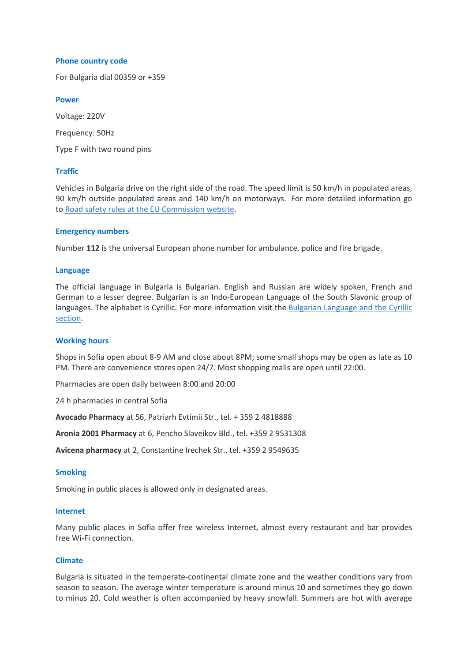#### **Phone country code**

For Bulgaria dial 00359 or +359

#### **Power**

Voltage: 220V Frequency: 50Hz Type F with two round pins

# **Traffic**

Vehicles in Bulgaria drive on the right side of the road. The speed limit is 50 km/h in populated areas, 90 km/h outside populated areas and 140 km/h on motorways. For more detailed information go to [Road safety rules at the EU Commission website.](http://ec.europa.eu/transport/road_safety/going_abroad/bulgaria/speed_limits_en.htm)

#### **Emergency numbers**

Number **112** is the universal European phone number for ambulance, police and fire brigade.

#### **Language**

The official language in Bulgaria is Bulgarian. English and Russian are widely spoken, French and German to a lesser degree. Bulgarian is an Indo-European Language of the South Slavonic group of languages. The alphabet is Cyrillic. For more information visit the [Bulgarian Language and the Cyrillic](https://eu2018bg.bg/en/language-and-cyrillic)  [section.](https://eu2018bg.bg/en/language-and-cyrillic)

#### **Working hours**

Shops in Sofia open about 8-9 AM and close about 8PM; some small shops may be open as late as 10 PM. There are convenience stores open 24/7. Most shopping malls are open until 22:00.

Pharmacies are open daily between 8:00 and 20:00

24 h pharmacies in central Sofia

**Avocado Pharmacy** at 56, Patriarh Evtimii Str., tel. + 359 2 4818888

**Aronia 2001 Pharmacy** at 6, Pencho Slaveikov Bld., tel. +359 2 9531308

**Avicena pharmacy** at 2, Constantine Irechek Str., tel. +359 2 9549635

#### **Smoking**

Smoking in public places is allowed only in designated areas.

#### **Internet**

Many public places in Sofia offer free wireless Internet, almost every restaurant and bar provides free Wi-Fi connection.

# **Climate**

Bulgaria is situated in the temperate-continental climate zone and the weather conditions vary from season to season. The average winter temperature is around minus 10̊ and sometimes they go down to minus 20̊. Cold weather is often accompanied by heavy snowfall. Summers are hot with average